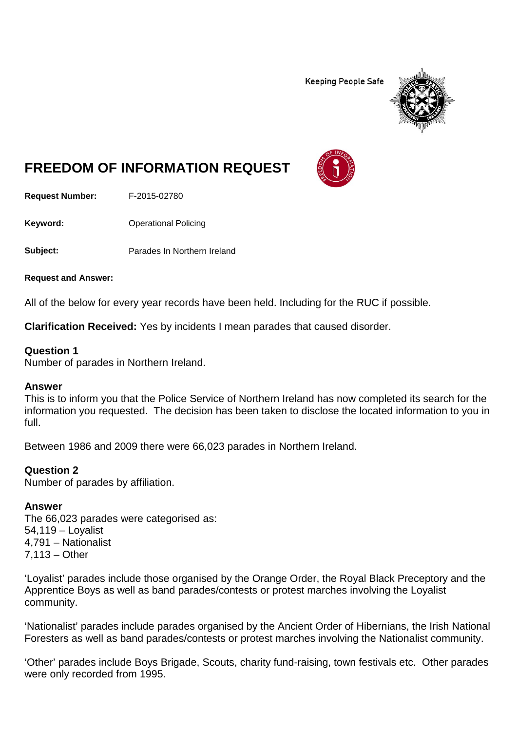**Keeping People Safe** 



# **FREEDOM OF INFORMATION REQUEST**

**Request Number:** F-2015-02780

**Keyword:** Operational Policing

**Subject:** Parades In Northern Ireland

**Request and Answer:**

All of the below for every year records have been held. Including for the RUC if possible.

**Clarification Received:** Yes by incidents I mean parades that caused disorder.

#### **Question 1**

Number of parades in Northern Ireland.

#### **Answer**

This is to inform you that the Police Service of Northern Ireland has now completed its search for the information you requested. The decision has been taken to disclose the located information to you in full.

Between 1986 and 2009 there were 66,023 parades in Northern Ireland.

#### **Question 2**

Number of parades by affiliation.

#### **Answer**

The 66,023 parades were categorised as: 54,119 – Loyalist 4,791 – Nationalist 7,113 – Other

'Loyalist' parades include those organised by the Orange Order, the Royal Black Preceptory and the Apprentice Boys as well as band parades/contests or protest marches involving the Loyalist community.

'Nationalist' parades include parades organised by the Ancient Order of Hibernians, the Irish National Foresters as well as band parades/contests or protest marches involving the Nationalist community.

'Other' parades include Boys Brigade, Scouts, charity fund-raising, town festivals etc. Other parades were only recorded from 1995.